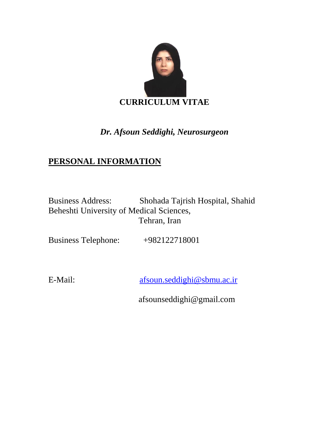

# *Dr. Afsoun Seddighi, Neurosurgeon*

# **PERSONAL INFORMATION**

Business Address: Shohada Tajrish Hospital, Shahid Beheshti University of Medical Sciences, Tehran, Iran

Business Telephone: +982122718001

E-Mail: [afsoun.seddighi@sbmu.ac.ir](mailto:afsoun.seddighi@sbmu.ac.ir)

afsounseddighi@gmail.com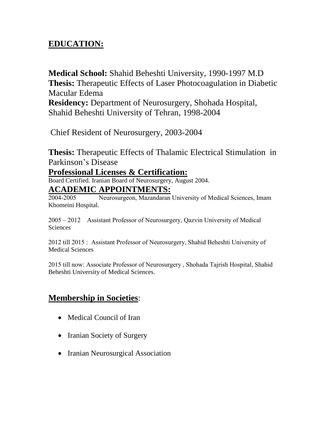# **EDUCATION:**

**Medical School:** Shahid Beheshti University, 1990-1997 M.D **Thesis:** Therapeutic Effects of Laser Photocoagulation in Diabetic Macular Edema

**Residency:** Department of Neurosurgery, Shohada Hospital, Shahid Beheshti University of Tehran, 1998-2004

Chief Resident of Neurosurgery, 2003-2004

**Thesis:** Therapeutic Effects of Thalamic Electrical Stimulation in Parkinson's Disease

### **Professional Licenses & Certification:**

Board Certified. Iranian Board of Neurosurgery, August 2004.

### **ACADEMIC APPOINTMENTS:**

2004-2005 Neurosurgeon, Mazandaran University of Medical Sciences, Imam Khomeini Hospital.

2005 – 2012 Assistant Professor of Neurosurgery, Qazvin University of Medical Sciences

2012 till 2015 : Assistant Professor of Neurosurgery, Shahid Beheshti University of Medical Sciences

2015 till now: Associate Professor of Neurosurgery , Shohada Tajrish Hospital, Shahid Beheshti University of Medical Sciences.

## **Membership in Societies**:

- Medical Council of Iran
- Iranian Society of Surgery
- Iranian Neurosurgical Association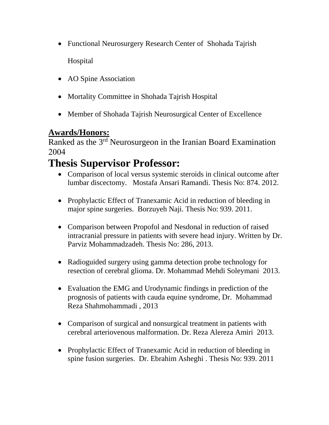- Functional Neurosurgery Research Center of Shohada Tajrish Hospital
- AO Spine Association
- Mortality Committee in Shohada Tajrish Hospital
- Member of Shohada Tajrish Neurosurgical Center of Excellence

## **Awards/Honors:**

Ranked as the 3<sup>rd</sup> Neurosurgeon in the Iranian Board Examination 2004

# **Thesis Supervisor Professor:**

- Comparison of local versus systemic steroids in clinical outcome after lumbar discectomy. Mostafa Ansari Ramandi. Thesis No: 874. 2012.
- Prophylactic Effect of Tranexamic Acid in reduction of bleeding in major spine surgeries. Borzuyeh Naji. Thesis No: 939. 2011.
- Comparison between Propofol and Nesdonal in reduction of raised intracranial pressure in patients with severe head injury. Written by Dr. Parviz Mohammadzadeh. Thesis No: 286, 2013.
- Radioguided surgery using gamma detection probe technology for resection of cerebral glioma. Dr. Mohammad Mehdi Soleymani 2013.
- Evaluation the EMG and Urodynamic findings in prediction of the prognosis of patients with cauda equine syndrome, Dr. Mohammad Reza Shahmohammadi , 2013
- Comparison of surgical and nonsurgical treatment in patients with cerebral arteriovenous malformation. Dr. Reza Alereza Amiri 2013.
- Prophylactic Effect of Tranexamic Acid in reduction of bleeding in spine fusion surgeries. Dr. Ebrahim Asheghi . Thesis No: 939. 2011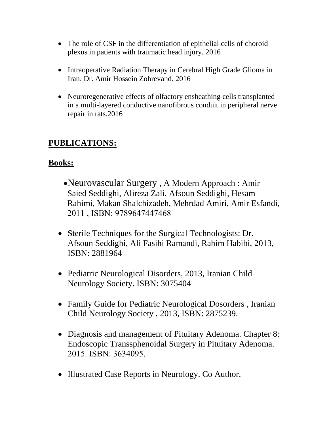- The role of CSF in the differentiation of epithelial cells of choroid plexus in patients with traumatic head injury. 2016
- Intraoperative Radiation Therapy in Cerebral High Grade Glioma in Iran. Dr. Amir Hossein Zohrevand. 2016
- Neuroregenerative effects of olfactory ensheathing cells transplanted in a multi-layered conductive nanofibrous conduit in peripheral nerve repair in rats.2016

## **PUBLICATIONS:**

### **Books:**

- Neurovascular Surgery , A Modern Approach : Amir Saied Seddighi, Alireza Zali, Afsoun Seddighi, Hesam Rahimi, Makan Shalchizadeh, Mehrdad Amiri, Amir Esfandi, 2011 , ISBN: 9789647447468
- Sterile Techniques for the Surgical Technologists: Dr. Afsoun Seddighi, Ali Fasihi Ramandi, Rahim Habibi, 2013, ISBN: 2881964
- Pediatric Neurological Disorders, 2013, Iranian Child Neurology Society. ISBN: 3075404
- Family Guide for Pediatric Neurological Dosorders, Iranian Child Neurology Society , 2013, ISBN: 2875239.
- Diagnosis and management of Pituitary Adenoma. Chapter 8: Endoscopic Transsphenoidal Surgery in Pituitary Adenoma. 2015. ISBN: 3634095.
- Illustrated Case Reports in Neurology. Co Author.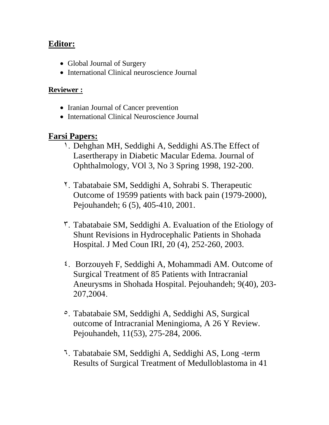## **Editor:**

- Global Journal of Surgery
- International Clinical neuroscience Journal

### **Reviewer :**

- Iranian Journal of Cancer prevention
- International Clinical Neuroscience Journal

## **Farsi Papers:**

- 1. Dehghan MH, Seddighi A, Seddighi AS.The Effect of Lasertherapy in Diabetic Macular Edema. Journal of Ophthalmology, VOl 3, No 3 Spring 1998, 192-200.
- 2. Tabatabaie SM, Seddighi A, Sohrabi S. Therapeutic Outcome of 19599 patients with back pain (1979-2000), Pejouhandeh; 6 (5), 405-410, 2001.
- 3. Tabatabaie SM, Seddighi A. Evaluation of the Etiology of Shunt Revisions in Hydrocephalic Patients in Shohada Hospital. J Med Coun IRI, 20 (4), 252-260, 2003.
- 4. Borzouyeh F, Seddighi A, Mohammadi AM. Outcome of Surgical Treatment of 85 Patients with Intracranial Aneurysms in Shohada Hospital. Pejouhandeh; 9(40), 203- 207,2004.
- 5. Tabatabaie SM, Seddighi A, Seddighi AS, Surgical outcome of Intracranial Meningioma, A 26 Y Review. Pejouhandeh, 11(53), 275-284, 2006.
- 6. Tabatabaie SM, Seddighi A, Seddighi AS, Long -term Results of Surgical Treatment of Medulloblastoma in 41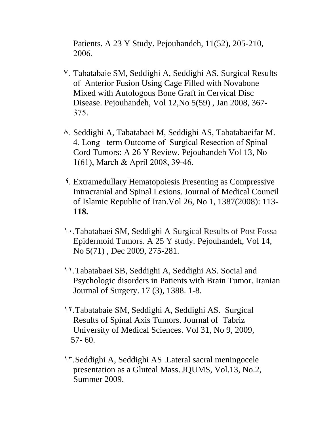Patients. A 23 Y Study. Pejouhandeh, 11(52), 205-210, 2006.

- 7. Tabatabaie SM, Seddighi A, Seddighi AS. Surgical Results of Anterior Fusion Using Cage Filled with Novabone Mixed with Autologous Bone Graft in Cervical Disc Disease. Pejouhandeh, Vol 12,No 5(59) , Jan 2008, 367- 375.
- 8. Seddighi A, Tabatabaei M, Seddighi AS, Tabatabaeifar M. 4. Long –term Outcome of Surgical Resection of Spinal Cord Tumors: A 26 Y Review. Pejouhandeh Vol 13, No 1(61), March & April 2008, 39-46.
- 9. Extramedullary Hematopoiesis Presenting as Compressive Intracranial and Spinal Lesions. Journal of Medical Council of Islamic Republic of Iran.Vol 26, No 1, 1387(2008): 113- **118.**
- 10.Tabatabaei SM, Seddighi A Surgical Results of Post Fossa Epidermoid Tumors. A 25 Y study. Pejouhandeh, Vol 14, No 5(71) , Dec 2009, 275-281.
- 11.Tabatabaei SB, Seddighi A, Seddighi AS. Social and Psychologic disorders in Patients with Brain Tumor. Iranian Journal of Surgery. 17 (3), 1388. 1-8.
- 12.Tabatabaie SM, Seddighi A, Seddighi AS. Surgical Results of Spinal Axis Tumors. Journal of Tabriz University of Medical Sciences. Vol 31, No 9, 2009, 57- 60.
- 13.Seddighi A, Seddighi AS .Lateral sacral meningocele presentation as a Gluteal Mass.JQUMS, Vol.13, No.2, Summer 2009.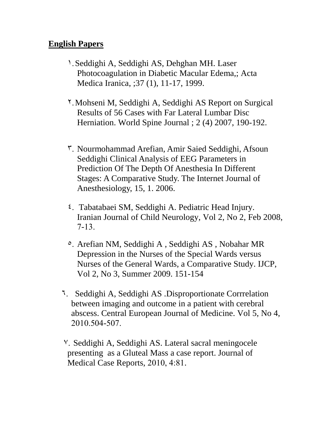## **English Papers**

- 1.Seddighi A, Seddighi AS, Dehghan MH. Laser Photocoagulation in Diabetic Macular Edema,; Acta Medica Iranica, ;37 (1), 11-17, 1999.
- 2.Mohseni M, Seddighi A, Seddighi AS Report on Surgical Results of 56 Cases with Far Lateral Lumbar Disc Herniation. World Spine Journal ; 2 (4) 2007, 190-192.
- 3. Nourmohammad Arefian, Amir Saied Seddighi, Afsoun Seddighi Clinical Analysis of EEG Parameters in Prediction Of The Depth Of Anesthesia In Different Stages: A Comparative Study. The Internet Journal of Anesthesiology, 15, 1. 2006.
- 4. Tabatabaei SM, Seddighi A. Pediatric Head Injury. Iranian Journal of Child Neurology, Vol 2, No 2, Feb 2008, 7-13.
- 5. Arefian NM, Seddighi A , Seddighi AS , Nobahar MR Depression in the Nurses of the Special Wards versus Nurses of the General Wards, a Comparative Study. IJCP, Vol 2, No 3, Summer 2009. 151-154
- 6. Seddighi A, Seddighi AS .Disproportionate Corrrelation between imaging and outcome in a patient with cerebral abscess. Central European Journal of Medicine. Vol 5, No 4, 2010.504-507.
- 7. Seddighi A, Seddighi AS. Lateral sacral meningocele presenting as a Gluteal Mass a case report. Journal of Medical Case Reports, 2010, 4:81.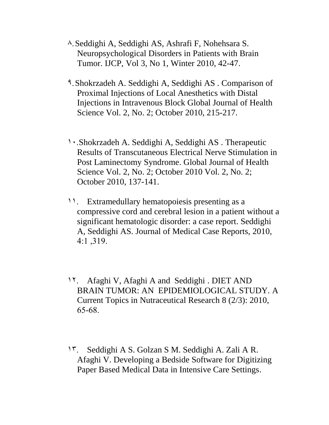- 8.Seddighi A, Seddighi AS, Ashrafi F, Nohehsara S. Neuropsychological Disorders in Patients with Brain Tumor. IJCP, Vol 3, No 1, Winter 2010, 42-47.
- 9.Shokrzadeh A. Seddighi A, Seddighi AS . Comparison of Proximal Injections of Local Anesthetics with Distal Injections in Intravenous Block Global Journal of Health Science Vol. 2, No. 2; October 2010, 215-217.
- 10.Shokrzadeh A. Seddighi A, Seddighi AS . Therapeutic Results of Transcutaneous Electrical Nerve Stimulation in Post Laminectomy Syndrome. Global Journal of Health Science Vol. 2, No. 2; October 2010 Vol. 2, No. 2; October 2010, 137-141.
- 11. Extramedullary hematopoiesis presenting as a compressive cord and cerebral lesion in a patient without a significant hematologic disorder: a case report. Seddighi A, Seddighi AS. Journal of Medical Case Reports, 2010, 4:1 ,319.
- 12. Afaghi V, Afaghi A and Seddighi . DIET AND BRAIN TUMOR: AN EPIDEMIOLOGICAL STUDY. A Current Topics in Nutraceutical Research 8 (2/3): 2010, 65-68.
- 13. Seddighi A S. Golzan S M. Seddighi A. Zali A R. Afaghi V. Developing a Bedside Software for Digitizing Paper Based Medical Data in Intensive Care Settings.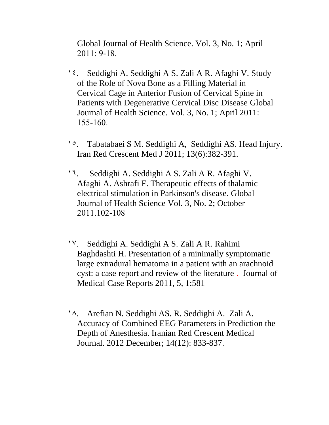Global Journal of Health Science. Vol. 3, No. 1; April 2011: 9-18.

- 14. Seddighi A. Seddighi A S. Zali A R. Afaghi V. Study of the Role of Nova Bone as a Filling Material in Cervical Cage in Anterior Fusion of Cervical Spine in Patients with Degenerative Cervical Disc Disease Global Journal of Health Science. Vol. 3, No. 1; April 2011: 155-160.
- 1<sup>o</sup>. Tabatabaei S M. Seddighi A, Seddighi AS. Head Injury. Iran Red Crescent Med J 2011; 13(6):382-391.
- 16. Seddighi A. Seddighi A S. Zali A R. Afaghi V. Afaghi A. Ashrafi F. Therapeutic effects of thalamic electrical stimulation in Parkinson's disease. Global Journal of Health Science Vol. 3, No. 2; October 2011.102-108
- 17. Seddighi A. Seddighi A S. Zali A R. Rahimi Baghdashti H. Presentation of a minimally symptomatic large extradural hematoma in a patient with an arachnoid cyst: a case report and review of the literature . Journal of Medical Case Reports 2011, 5, 1:581
- 18. Arefian N. Seddighi AS. R. Seddighi A. Zali A. Accuracy of Combined EEG Parameters in Prediction the Depth of Anesthesia. Iranian Red Crescent Medical Journal. 2012 December; 14(12): 833-837.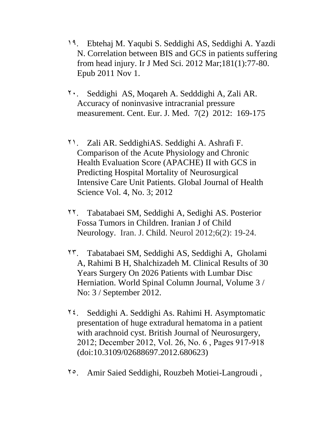- 19. Ebtehaj M. Yaqubi S. Seddighi AS, Seddighi A. Yazdi N. Correlation between BIS and GCS in patients suffering from head injury. Ir J [Med](http://www.ncbi.nlm.nih.gov/pubmed/22042690) Sci. 2012 Mar;181(1):77-80. Epub 2011 Nov 1.
- 20. Seddighi AS, Moqareh A. Sedddighi A, Zali AR. Accuracy of noninvasive intracranial pressure measurement. Cent. Eur. J. Med. 7(2) 2012: 169-175
- 21. Zali AR. SeddighiAS. Seddighi A. Ashrafi F. Comparison of the Acute Physiology and Chronic Health Evaluation Score (APACHE) II with GCS in Predicting Hospital Mortality of Neurosurgical Intensive Care Unit Patients. Global Journal of Health Science Vol. 4, No. 3; 2012
- 22. Tabatabaei SM, Seddighi A, Sedighi AS. Posterior Fossa Tumors in Children. Iranian J of Child Neurology. Iran. J. Child. Neurol 2012;6(2): 19-24.
- 23. Tabatabaei SM, Seddighi AS, Seddighi A, Gholami A, Rahimi B H, Shalchizadeh M. Clinical Results of 30 Years Surgery On 2026 Patients with Lumbar Disc Herniation. World Spinal Column Journal, Volume 3 / No: 3 / September 2012.
- $\mathbf{Y}$ . Seddighi A. Seddighi As. Rahimi H. Asymptomatic presentation of huge extradural hematoma in a patient with arachnoid cyst. British Journal of Neurosurgery, 2012; December 2012, Vol. 26, No. 6 , Pages 917-918 (doi:10.3109/02688697.2012.680623)
- 25. Amir Saied Seddighi, Rouzbeh Motiei-Langroudi ,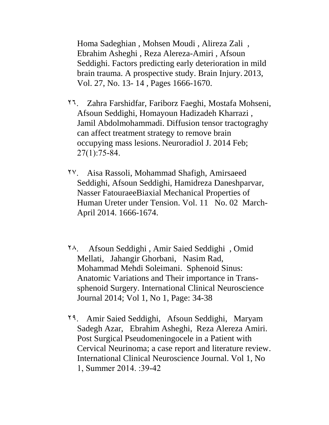Homa Sadeghian , Mohsen Moudi , Alireza Zali , Ebrahim Asheghi , Reza Alereza-Amiri , Afsoun Seddighi. Factors predicting early deterioration in mild brain trauma. A prospective study. Brain Injury. 2013, Vol. 27, No. 13- 14 , Pages 1666-1670.

- 26. Zahra Farshidfar, Fariborz Faeghi, Mostafa Mohseni, Afsoun Seddighi, Homayoun Hadizadeh Kharrazi , Jamil Abdolmohammadi. Diffusion tensor tractograghy can affect treatment strategy to remove brain occupying mass lesions. [Neuroradiol J.](http://www.ncbi.nlm.nih.gov/pubmed/24571836) 2014 Feb; 27(1):75-84.
- 27. Aisa Rassoli, Mohammad Shafigh, Amirsaeed Seddighi, Afsoun Seddighi, Hamidreza Daneshparvar, Nasser FatouraeeBiaxial Mechanical Properties of Human Ureter under Tension. Vol. 11No. 02 March-April 2014. 1666-1674.
- 28. Afsoun Seddighi , Amir Saied Seddighi , Omid Mellati, Jahangir Ghorbani, Nasim Rad, Mohammad Mehdi Soleimani. Sphenoid Sinus: Anatomic Variations and Their importance in Transsphenoid Surgery. International Clinical Neuroscience Journal 2014; Vol 1, No 1, Page: 34-38
- 29. Amir Saied Seddighi, Afsoun Seddighi, Maryam Sadegh Azar, Ebrahim Asheghi, Reza Alereza Amiri. Post Surgical Pseudomeningocele in a Patient with Cervical Neurinoma; a case report and literature review. International Clinical Neuroscience Journal. Vol 1, No 1, Summer 2014. :39-42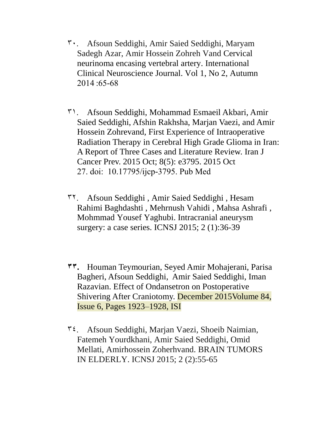- 30. Afsoun Seddighi, Amir Saied Seddighi, Maryam Sadegh Azar, Amir Hossein Zohreh Vand Cervical neurinoma encasing vertebral artery. International Clinical Neuroscience Journal. Vol 1, No 2, Autumn 2014 :65-68
- 31. Afsoun Seddighi, Mohammad Esmaeil Akbari, Amir Saied Seddighi, Afshin Rakhsha, Marjan Vaezi, and Amir Hossein Zohrevand, First Experience of Intraoperative Radiation Therapy in Cerebral High Grade Glioma in Iran: A Report of Three Cases and Literature Review. Iran J Cancer Prev. 2015 Oct; 8(5): e3795. 2015 Oct 27. doi: [10.17795/ijcp-3795.](http://dx.doi.org/10.17795%2Fijcp-3795) Pub Med
- 32. Afsoun Seddighi , Amir Saied Seddighi , Hesam Rahimi Baghdashti , Mehrnush Vahidi , Mahsa Ashrafi , Mohmmad Yousef Yaghubi. Intracranial aneurysm surgery: a case series. ICNSJ 2015; 2 (1):36-39
- **33.** Houman Teymourian, Seyed Amir Mohajerani, Parisa Bagheri, Afsoun Seddighi, Amir Saied Seddighi, Iman Razavian. Effect of Ondansetron on Postoperative Shivering After Craniotomy. [December 2015V](http://www.worldneurosurgery.org/issue/S1878-8750(15)X0013-1)olume 84, Issue 6, Pages 1923–1928, ISI
- 34. Afsoun Seddighi, Marjan Vaezi, Shoeib Naimian, Fatemeh Yourdkhani, Amir Saied Seddighi, Omid Mellati, Amirhossein Zoherhvand. BRAIN TUMORS IN ELDERLY. ICNSJ 2015; 2 (2):55-65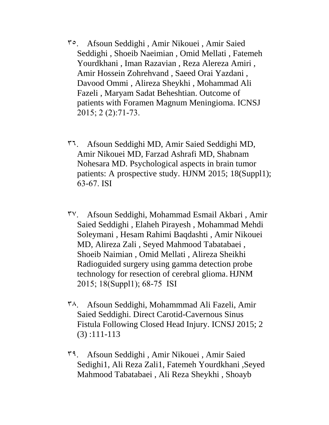- 35. Afsoun Seddighi , Amir Nikouei , Amir Saied Seddighi , Shoeib Naeimian , Omid Mellati , Fatemeh Yourdkhani , Iman Razavian , Reza Alereza Amiri , Amir Hossein Zohrehvand , Saeed Orai Yazdani , Davood Ommi , Alireza Sheykhi , Mohammad Ali Fazeli , Maryam Sadat Beheshtian. Outcome of patients with Foramen Magnum Meningioma. ICNSJ 2015; 2 (2):71-73.
- 36. Afsoun Seddighi MD, Amir Saied Seddighi MD, Amir Nikouei MD, Farzad Ashrafi MD, Shabnam Nohesara MD. Psychological aspects in brain tumor patients: A prospective study. HJNM 2015; 18(Suppl1); 63-67. ISI
- 37. Afsoun Seddighi, Mohammad Esmail Akbari , Amir Saied Seddighi , Elaheh Pirayesh , Mohammad Mehdi Soleymani , Hesam Rahimi Baqdashti , Amir Nikouei MD, Alireza Zali , Seyed Mahmood Tabatabaei , Shoeib Naimian , Omid Mellati , Alireza Sheikhi Radioguided surgery using gamma detection probe technology for resection of cerebral glioma. HJNM 2015; 18(Suppl1); 68-75 ISI
- 38. Afsoun Seddighi, Mohammmad Ali Fazeli, Amir Saied Seddighi. Direct Carotid-Cavernous Sinus Fistula Following Closed Head Injury. ICNSJ 2015; 2 (3) :111-113
- 39. Afsoun Seddighi , Amir Nikouei , Amir Saied Sedighi1, Ali Reza Zali1, Fatemeh Yourdkhani ,Seyed Mahmood Tabatabaei , Ali Reza Sheykhi , Shoayb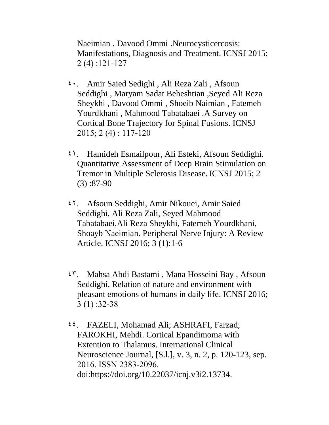Naeimian , Davood Ommi .Neurocysticercosis: Manifestations, Diagnosis and Treatment. ICNSJ 2015; 2 (4) :121-127

- 40. Amir Saied Sedighi , Ali Reza Zali , Afsoun Seddighi , Maryam Sadat Beheshtian ,Seyed Ali Reza Sheykhi , Davood Ommi , Shoeib Naimian , Fatemeh Yourdkhani , Mahmood Tabatabaei .A Survey on Cortical Bone Trajectory for Spinal Fusions. ICNSJ 2015; 2 (4) : 117-120
- 41. Hamideh Esmailpour, Ali Esteki, Afsoun Seddighi. Quantitative Assessment of Deep Brain Stimulation on Tremor in Multiple Sclerosis Disease. ICNSJ 2015; 2  $(3)$ :87-90
- 42. Afsoun Seddighi, Amir Nikouei, Amir Saied Seddighi, Ali Reza Zali, Seyed Mahmood Tabatabaei,Ali Reza Sheykhi, Fatemeh Yourdkhani, Shoayb Naeimian. Peripheral Nerve Injury: A Review Article. ICNSJ 2016; 3 (1):1-6
- 43. Mahsa Abdi Bastami , Mana Hosseini Bay , Afsoun Seddighi. Relation of nature and environment with pleasant emotions of humans in daily life. ICNSJ 2016; 3 (1) :32-38
- 44. FAZELI, Mohamad Ali; ASHRAFI, Farzad; FAROKHI, Mehdi. Cortical Epandimoma with Extention to Thalamus. International Clinical Neuroscience Journal, [S.l.], v. 3, n. 2, p. 120-123, sep. 2016. ISSN 2383-2096. doi:https://doi.org/10.22037/icnj.v3i2.13734.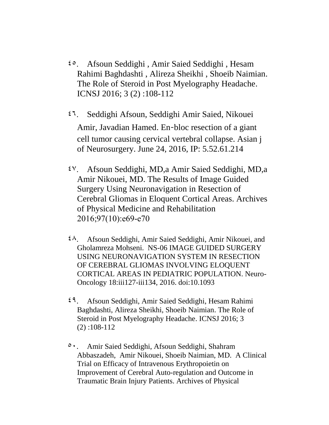- 45. Afsoun Seddighi , Amir Saied Seddighi , Hesam Rahimi Baghdashti , Alireza Sheikhi , Shoeib Naimian. The Role of Steroid in Post Myelography Headache. ICNSJ 2016; 3 (2) :108-112
- 46. Seddighi Afsoun, Seddighi Amir Saied, Nikouei Amir, Javadian Hamed. En‑bloc resection of a giant cell tumor causing cervical vertebral collapse. Asian j of Neurosurgery. June 24, 2016, IP: 5.52.61.214
- 47. Afsoun Seddighi, MD,a Amir Saied Seddighi, MD,a Amir Nikouei, MD. The Results of Image Guided Surgery Using Neuronavigation in Resection of Cerebral Gliomas in Eloquent Cortical Areas. Archives of Physical Medicine and Rehabilitation 2016;97(10):e69-e70
- $2^{\lambda}$ . Afsoun Seddighi, Amir Saied Seddighi, Amir Nikouei, and Gholamreza Mohseni. NS-06 IMAGE GUIDED SURGERY USING NEURONAVIGATION SYSTEM IN RESECTION OF CEREBRAL GLIOMAS INVOLVING ELOQUENT CORTICAL AREAS IN PEDIATRIC POPULATION. Neuro-Oncology 18:iii127-iii134, 2016. doi:10.1093
- 49. Afsoun Seddighi, Amir Saied Seddighi, Hesam Rahimi Baghdashti, Alireza Sheikhi, Shoeib Naimian. The Role of Steroid in Post Myelography Headache. ICNSJ 2016; 3 (2) :108-112
- 50. Amir Saied Seddighi, Afsoun Seddighi, Shahram Abbaszadeh, Amir Nikouei, Shoeib Naimian, MD. A Clinical Trial on Efficacy of Intravenous Erythropoietin on Improvement of Cerebral Auto-regulation and Outcome in Traumatic Brain Injury Patients. Archives of Physical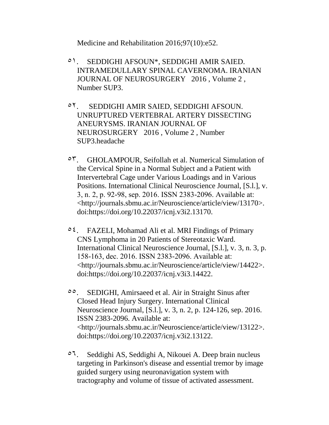Medicine and Rehabilitation 2016;97(10):e52.

- 51. SEDDIGHI AFSOUN\*, SEDDIGHI AMIR SAIED. INTRAMEDULLARY SPINAL CAVERNOMA. IRANIAN JOURNAL OF NEUROSURGERY 2016 , Volume 2 , Number SUP3.
- 52. SEDDIGHI AMIR SAIED, SEDDIGHI AFSOUN. UNRUPTURED VERTEBRAL ARTERY DISSECTING ANEURYSMS. IRANIAN JOURNAL OF NEUROSURGERY 2016 , Volume 2 , Number SUP3.headache
- 53. GHOLAMPOUR, Seifollah et al. Numerical Simulation of the Cervical Spine in a Normal Subject and a Patient with Intervertebral Cage under Various Loadings and in Various Positions. International Clinical Neuroscience Journal, [S.l.], v. 3, n. 2, p. 92-98, sep. 2016. ISSN 2383-2096. Available at: <http://journals.sbmu.ac.ir/Neuroscience/article/view/13170>. doi:https://doi.org/10.22037/icnj.v3i2.13170.
- $\circ \xi$ . FAZELI, Mohamad Ali et al. MRI Findings of Primary CNS Lymphoma in 20 Patients of Stereotaxic Ward. International Clinical Neuroscience Journal, [S.l.], v. 3, n. 3, p. 158-163, dec. 2016. ISSN 2383-2096. Available at: <http://journals.sbmu.ac.ir/Neuroscience/article/view/14422>. doi:https://doi.org/10.22037/icnj.v3i3.14422.
- 55. SEDIGHI, Amirsaeed et al. Air in Straight Sinus after Closed Head Injury Surgery. International Clinical Neuroscience Journal, [S.l.], v. 3, n. 2, p. 124-126, sep. 2016. ISSN 2383-2096. Available at: <http://journals.sbmu.ac.ir/Neuroscience/article/view/13122>. doi:https://doi.org/10.22037/icnj.v3i2.13122.
- 56. Seddighi AS, Seddighi A, Nikouei A. Deep brain nucleus targeting in Parkinson's disease and essential tremor by image guided surgery using neuronavigation system with tractography and volume of tissue of activated assessment.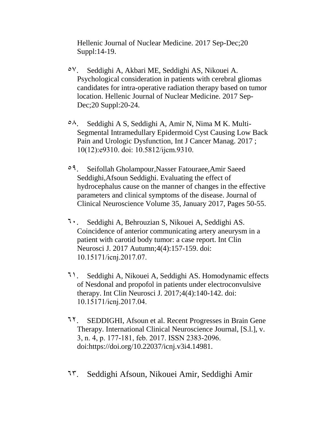Hellenic Journal of Nuclear Medicine. 2017 Sep-Dec;20 Suppl:14-19.

- 57. Seddighi A, Akbari ME, Seddighi AS, Nikouei A. Psychological consideration in patients with cerebral gliomas candidates for intra-operative radiation therapy based on tumor location. Hellenic Journal of Nuclear Medicine. 2017 Sep-Dec;20 Suppl:20-24.
- $\circ \wedge$ . Seddighi A S, Seddighi A, Amir N, Nima M K. Multi-Segmental Intramedullary Epidermoid Cyst Causing Low Back Pain and Urologic Dysfunction, Int J Cancer Manag. 2017 ; 10(12):e9310. doi: 10.5812/ijcm.9310.
- 59. Seifollah Gholampour,Nasser Fatouraee,Amir Saeed Seddighi,Afsoun Seddighi. Evaluating the effect of hydrocephalus cause on the manner of changes in the effective parameters and clinical symptoms of the disease. Journal of Clinical Neuroscience Volume 35, January 2017, Pages 50-55.
- 60. Seddighi A, Behrouzian S, Nikouei A, Seddighi AS. Coincidence of anterior communicating artery aneurysm in a patient with carotid body tumor: a case report. Int Clin Neurosci J. 2017 Autumn;4(4):157-159. doi: 10.15171/icnj.2017.07.
- 61. Seddighi A, Nikouei A, Seddighi AS. Homodynamic effects of Nesdonal and propofol in patients under electroconvulsive therapy. Int Clin Neurosci J. 2017;4(4):140-142. doi: 10.15171/icnj.2017.04.
- 62. SEDDIGHI, Afsoun et al. Recent Progresses in Brain Gene Therapy. International Clinical Neuroscience Journal, [S.l.], v. 3, n. 4, p. 177-181, feb. 2017. ISSN 2383-2096. doi:https://doi.org/10.22037/icnj.v3i4.14981.
- 63. [Seddighi Afsoun, Nikouei Amir, Seddighi Amir](http://www.asianjns.org/preprintarticle.asp?id=165791;type=0)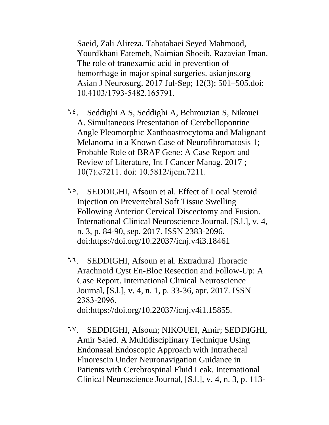[Saeid, Zali Alireza, Tabatabaei Seyed Mahmood,](http://www.asianjns.org/preprintarticle.asp?id=165791;type=0)  [Yourdkhani Fatemeh, Naimian Shoeib, Razavian Iman.](http://www.asianjns.org/preprintarticle.asp?id=165791;type=0)  [The role of tranexamic acid in prevention of](http://www.asianjns.org/preprintarticle.asp?id=165791;type=0)  [hemorrhage in major spinal surgeries.](http://www.asianjns.org/preprintarticle.asp?id=165791;type=0) asianjns.org Asian J Neurosurg. 2017 Jul-Sep; 12(3): 501–505.doi: 10.4103/1793-5482.165791.

- 64. Seddighi A S, Seddighi A, Behrouzian S, Nikouei A. Simultaneous Presentation of Cerebellopontine Angle Pleomorphic Xanthoastrocytoma and Malignant Melanoma in a Known Case of Neurofibromatosis 1; Probable Role of BRAF Gene: A Case Report and Review of Literature, Int J Cancer Manag. 2017 ; 10(7):e7211. doi: 10.5812/ijcm.7211.
- 65. SEDDIGHI, Afsoun et al. Effect of Local Steroid Injection on Prevertebral Soft Tissue Swelling Following Anterior Cervical Discectomy and Fusion. International Clinical Neuroscience Journal, [S.l.], v. 4, n. 3, p. 84-90, sep. 2017. ISSN 2383-2096. doi:https://doi.org/10.22037/icnj.v4i3.18461
- 66. SEDDIGHI, Afsoun et al. Extradural Thoracic Arachnoid Cyst En-Bloc Resection and Follow-Up: A Case Report. International Clinical Neuroscience Journal, [S.l.], v. 4, n. 1, p. 33-36, apr. 2017. ISSN 2383-2096. doi:https://doi.org/10.22037/icnj.v4i1.15855.
- 67. SEDDIGHI, Afsoun; NIKOUEI, Amir; SEDDIGHI, Amir Saied. A Multidisciplinary Technique Using Endonasal Endoscopic Approach with Intrathecal Fluorescin Under Neuronavigation Guidance in Patients with Cerebrospinal Fluid Leak. International Clinical Neuroscience Journal, [S.l.], v. 4, n. 3, p. 113-